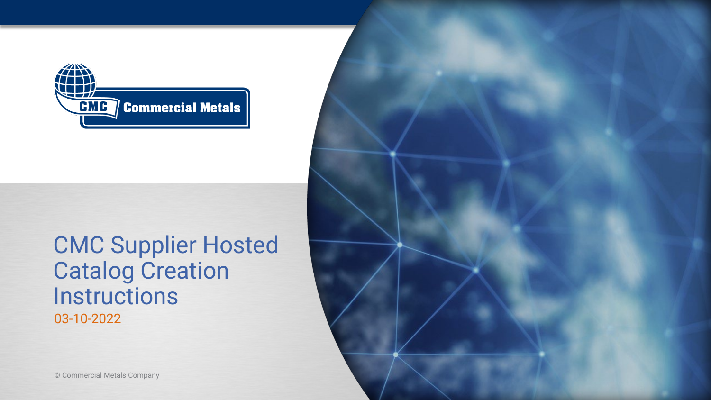

### CMC Supplier Hosted Catalog Creation **Instructions** 03-10-2022

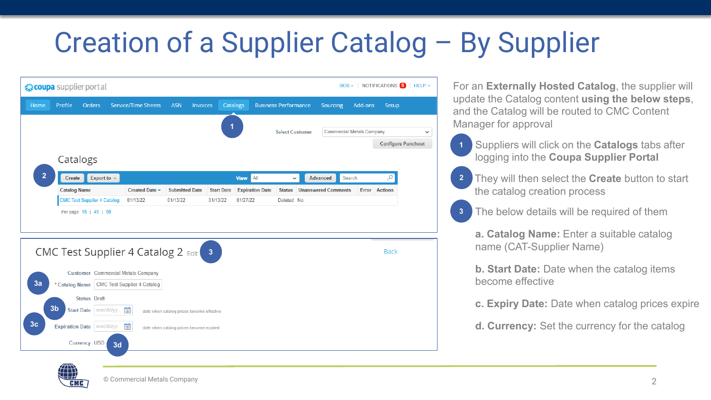| ☆ coupa supplier portal |                        |                                    |          |                                             |                       |                                           |                   |                             |                        |                            | $BOB \sim$ |                                  | NOTIFICATIONS 0 | $HELP \sim$                               |
|-------------------------|------------------------|------------------------------------|----------|---------------------------------------------|-----------------------|-------------------------------------------|-------------------|-----------------------------|------------------------|----------------------------|------------|----------------------------------|-----------------|-------------------------------------------|
| Home                    | Profile                | <b>Orders</b>                      |          | <b>Service/Time Sheets</b>                  | <b>ASN</b>            | <b>Invoices</b>                           | Catalogs          | <b>Business Performance</b> |                        | Sourcing                   |            | Add-ons                          | Setup           |                                           |
|                         | Catalogs               |                                    |          |                                             |                       |                                           | 1                 |                             | <b>Select Customer</b> |                            |            | <b>Commercial Metals Company</b> |                 | $\checkmark$<br><b>Configure Punchout</b> |
| $\overline{2}$          | Create                 | Export to $\sim$                   |          |                                             |                       |                                           | <b>View</b>       | All                         | $\checkmark$           | <b>Advanced</b>            | Search     |                                  | Ω               |                                           |
|                         | <b>Catalog Name</b>    |                                    |          | Created Date -                              | <b>Submitted Date</b> |                                           | <b>Start Date</b> | <b>Expiration Date</b>      | <b>Status</b>          | <b>Unanswered Comments</b> |            |                                  | Error Actions   |                                           |
|                         |                        | <b>CMC Test Supplier 4 Catalog</b> |          | 01/13/22                                    | 01/13/22              | 01/13/22                                  |                   | 01/27/22                    | Deleted No             |                            |            |                                  |                 |                                           |
|                         |                        |                                    |          | <b>CMC Test Supplier 4 Catalog 2 Edit 3</b> |                       |                                           |                   |                             |                        |                            |            |                                  | <b>Back</b>     |                                           |
|                         |                        |                                    |          | Customer Commercial Metals Company          |                       |                                           |                   |                             |                        |                            |            |                                  |                 |                                           |
| 3a                      | * Catalog Name         |                                    |          | CMC Test Supplier 4 Catalog                 |                       |                                           |                   |                             |                        |                            |            |                                  |                 |                                           |
|                         |                        | Status Draft                       |          |                                             |                       |                                           |                   |                             |                        |                            |            |                                  |                 |                                           |
|                         | 3 <sub>b</sub>         | mm/dd/yy<br><b>Start Date</b>      |          | 儘                                           |                       | date when catalog prices become effective |                   |                             |                        |                            |            |                                  |                 |                                           |
| 3 <sub>c</sub>          | <b>Expiration Date</b> |                                    | mm/dd/yy | 儘                                           |                       | date when catalog prices become expired   |                   |                             |                        |                            |            |                                  |                 |                                           |
|                         | Currency USD           |                                    |          |                                             |                       |                                           |                   |                             |                        |                            |            |                                  |                 |                                           |

For an **Externally Hosted Catalog**, the supplier will update the Catalog content **using the below steps**, and the Catalog will be routed to CMC Content Manager for approval

- Suppliers will click on the **Catalogs** tabs after logging into the **Coupa Supplier Portal 1**
- They will then select the **Create** button to start the catalog creation process **2**
- The below details will be required of them **3**

**a. Catalog Name:** Enter a suitable catalog name (CAT-Supplier Name)

**b. Start Date:** Date when the catalog items become effective

**c. Expiry Date:** Date when catalog prices expire

**d. Currency:** Set the currency for the catalog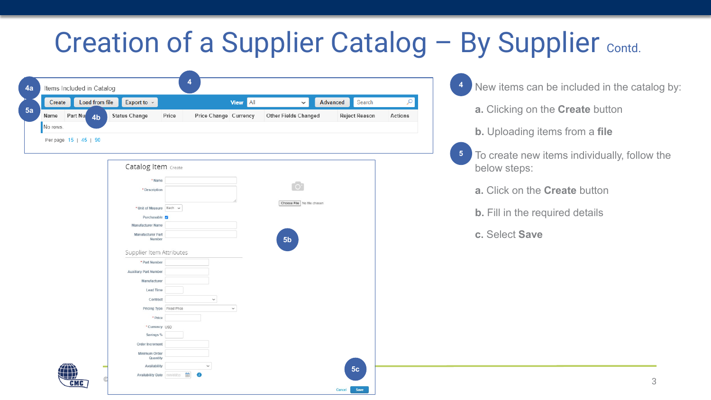| Load from file<br>Create                                | Export to $\sim$                                                                                                                                                                                                                                                                                              | <b>View</b> All                                        | $\checkmark$                                                                | Advanced<br>Search   | Q       |            |                                                                                                                                                                                                                                               |
|---------------------------------------------------------|---------------------------------------------------------------------------------------------------------------------------------------------------------------------------------------------------------------------------------------------------------------------------------------------------------------|--------------------------------------------------------|-----------------------------------------------------------------------------|----------------------|---------|------------|-----------------------------------------------------------------------------------------------------------------------------------------------------------------------------------------------------------------------------------------------|
| Part Nu 4b<br>Name<br>No rows.<br>Per page 15   45   90 | <b>Status Change</b><br>Price<br>Catalog Item Create<br>* Name<br>* Description<br>* Unit of Measure Each $\sim$<br>Purchasable 7<br><b>Manufacturer Name</b><br>Manufacturer Part<br>Number<br>Supplier Item Attributes<br>* Part Number<br><b>Auxiliary Part Number</b><br>Manufacturer<br><b>Lead Time</b> | Price Change Currency                                  | <b>Other Fields Changed</b><br>Choose File No file chosen<br>5 <sub>b</sub> | <b>Reject Reason</b> | Actions | $\sqrt{5}$ | a. Clicking on the Create button<br><b>b.</b> Uploading items from a file<br>To create new items individually, follow the<br>below steps:<br>a. Click on the <b>Create</b> button<br><b>b.</b> Fill in the required details<br>c. Select Save |
| <b>CMC</b>                                              | Contract<br>Pricing Type Fixed Price<br>* Price<br>*Currency USD<br>Savings %<br>Order Increment<br><b>Minimum Order</b><br>Quantity<br>Availability<br>Availability Date mm/dd/yy                                                                                                                            | $\check{~}$<br>$\check{~}$<br>$\check{ }$<br>$\bullet$ |                                                                             | 5 <sub>c</sub>       |         |            | 3                                                                                                                                                                                                                                             |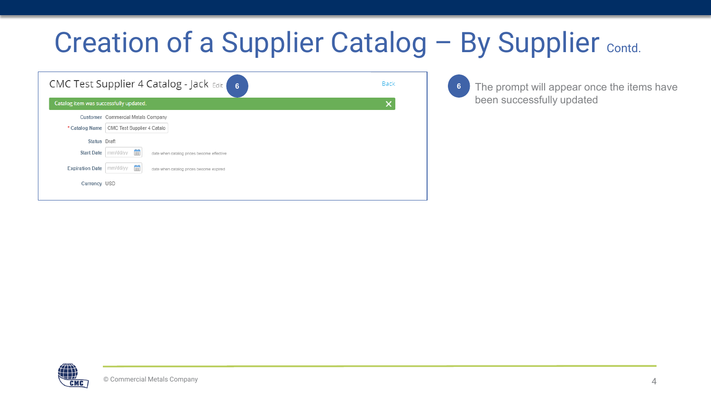| <b>Back</b> |  |
|-------------|--|
| ×           |  |
|             |  |
|             |  |
|             |  |
|             |  |
|             |  |
|             |  |
|             |  |

The prompt will appear once the items have been successfully updated

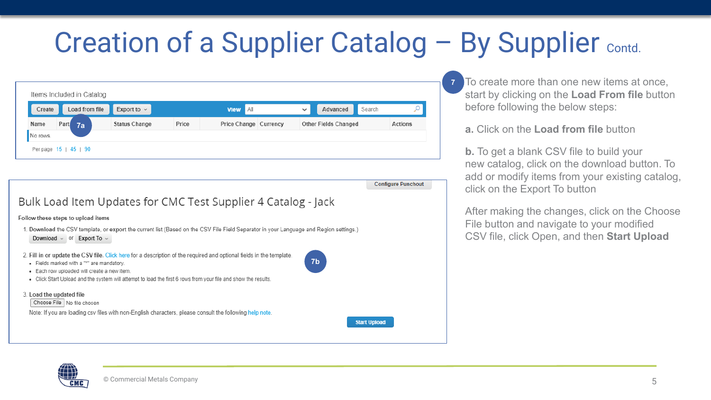| Create   | Load from file | Export to $\sim$     |       | AII<br><b>View</b>    | Search<br>Advanced<br>$\checkmark$ |         |
|----------|----------------|----------------------|-------|-----------------------|------------------------------------|---------|
| Name     | Part<br>7a     | <b>Status Change</b> | Price | Price Change Currency | <b>Other Fields Changed</b>        | Actions |
| No rows. |                |                      |       |                       |                                    |         |

**Configure Punchout** Bulk Load Item Updates for CMC Test Supplier 4 Catalog - Jack Follow these steps to upload items 1. Download the CSV template, or export the current list (Based on the CSV File Field Separator in your Language and Region settings.) Download = or Export To = 2. Fill in or update the CSV file. Click here for a description of the required and optional fields in the template. **7b** • Fields marked with a "\*" are mandatory · Each row uploaded will create a new item. . Click Start Upload and the system will attempt to load the first 6 rows from your file and show the results. 3. Load the updated file Choose File No file chosen Note: If you are loading csv files with non-English characters, please consult the following help note. **Start Upload** 

To create more than one new items at once, start by clicking on the **Load From file** button before following the below steps:

**a.** Click on the **Load from file** button

**7**

**b.** To get a blank CSV file to build your new catalog, click on the download button. To add or modify items from your existing catalog, click on the Export To button

After making the changes, click on the Choose File button and navigate to your modified CSV file, click Open, and then **Start Upload**

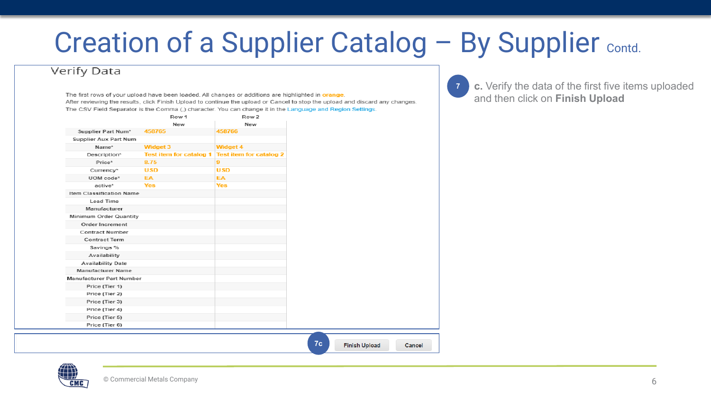**7**

#### **Verify Data**

The first rows of your upload have been loaded. All changes or additions are highlighted in orange. After reviewing the results, click Finish Upload to continue the upload or Cancel to stop the upload and discard any changes. The CSV Field Separator is the Comma (,) character. You can change it in the Language and Region Settings.

|                          | Row 1                          | Row 2                          |
|--------------------------|--------------------------------|--------------------------------|
|                          | New                            | New                            |
| Supplier Part Num*       | 458765                         | 458766                         |
| Supplier Aux Part Num    |                                |                                |
| Name*                    | Widget 3                       | Widget 4                       |
| Description*             | <b>Test item for catalog 1</b> | <b>Test item for catalog 2</b> |
| Price*                   | 8.75                           | 9                              |
| Currency*                | <b>USD</b>                     | <b>USD</b>                     |
| UOM code*                | EA                             | EA                             |
| active*                  | <b>Yes</b>                     | <b>Yes</b>                     |
| Item Classification Name |                                |                                |
| Lead Time                |                                |                                |
| Manufacturer             |                                |                                |
| Minimum Order Quantity   |                                |                                |
| Order Increment          |                                |                                |
| Contract Number          |                                |                                |
| Contract Term            |                                |                                |
| Savings %                |                                |                                |
| Availability             |                                |                                |
| <b>Availability Date</b> |                                |                                |
| Manufacturer Name        |                                |                                |
| Manufacturer Part Number |                                |                                |
| Price (Tier 1)           |                                |                                |
| Price (Tier 2)           |                                |                                |
| Price (Tier 3)           |                                |                                |
| Price (Tier 4)           |                                |                                |
| Price (Tier 5)           |                                |                                |
| Price (Tier 6)           |                                |                                |

**c.** Verify the data of the first five items uploaded and then click on **Finish Upload**

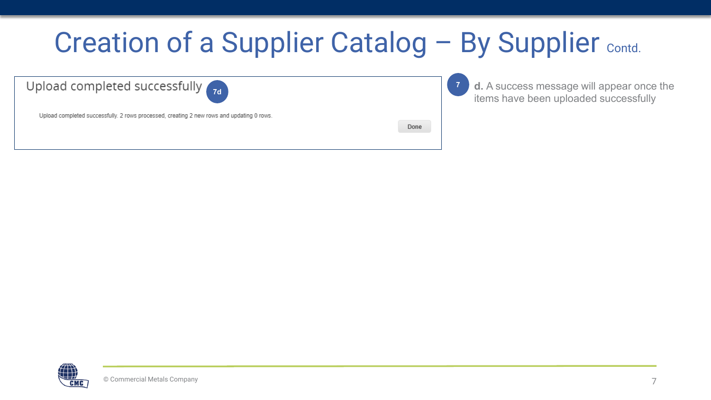| <b>Creation of a Supplier Catalog - By Supplier Contd.</b>                                                                               |      |                                                                                    |
|------------------------------------------------------------------------------------------------------------------------------------------|------|------------------------------------------------------------------------------------|
| Upload completed successfully <sub>7d</sub><br>Upload completed successfully. 2 rows processed, creating 2 new rows and updating 0 rows. | Done | d. A success message will appear once the<br>items have been uploaded successfully |

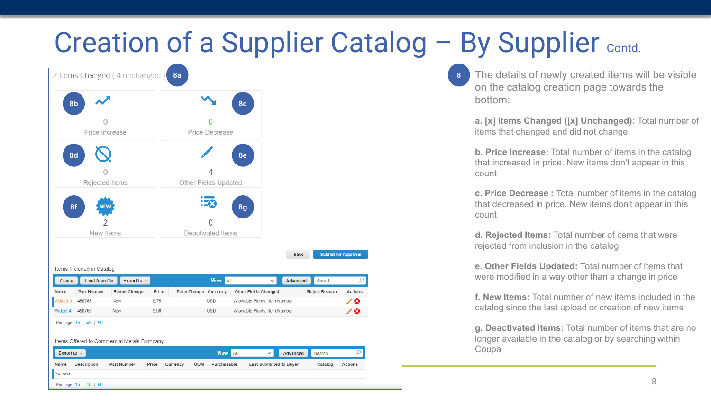

The details of newly created items will be visible on the catalog creation page towards the bottom:

**a. [x] Items Changed ([x] Unchanged):** Total number of items that changed and did not change

**b. Price Increase:** Total number of items in the catalog that increased in price. New items don't appear in this count

**c. Price Decrease :** Total number of items in the catalog that decreased in price. New items don't appear in this count

**d. Rejected Items:** Total number of items that were rejected from inclusion in the catalog

**e. Other Fields Updated:** Total number of items that were modified in a way other than a change in price

**f. New Items:** Total number of new items included in the catalog since the last upload or creation of new items

**g. Deactivated Items:** Total number of items that are no longer available in the catalog or by searching within Coupa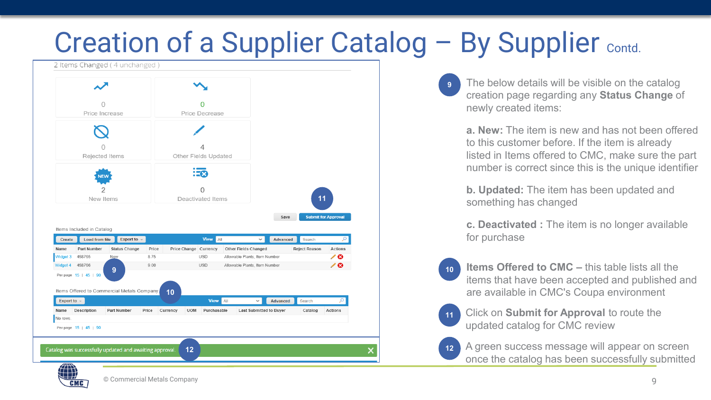

The below details will be visible on the catalog creation page regarding any **Status Change** of newly created items: **9**

**a. New:** The item is new and has not been offered to this customer before. If the item is already listed in Items offered to CMC, make sure the part number is correct since this is the unique identifier

**b. Updated:** The item has been updated and something has changed

**c. Deactivated :** The item is no longer available for purchase

**Items Offered to CMC –** this table lists all the items that have been accepted and published and are available in CMC's Coupa environment **10**

Click on **Submit for Approval** to route the updated catalog for CMC review **11**

**12**

A green success message will appear on screen once the catalog has been successfully submitted

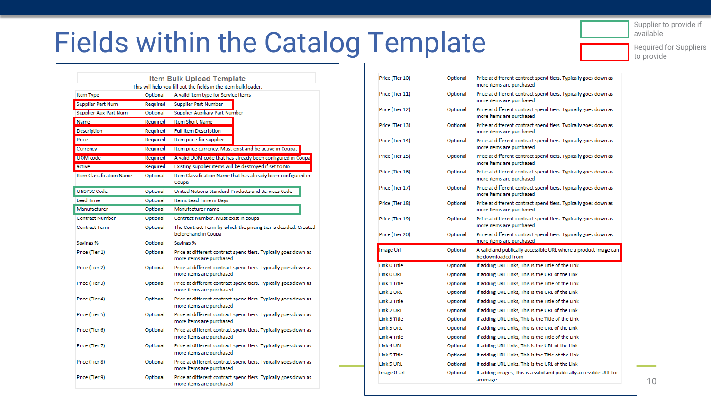Supplier to provide if available

Required for Suppliers to provide

# Fields within the Catalog Template

|                                 |          | <b>Item Bulk Upload Template</b>                                                            |
|---------------------------------|----------|---------------------------------------------------------------------------------------------|
|                                 |          | This will help you fill out the fields in the item bulk loader.                             |
| <b>Item Type</b>                | Optional | A valid item type for Service Items                                                         |
| <b>Supplier Part Num</b>        | Required | <b>Supplier Part Number</b>                                                                 |
| Supplier Aux Part Num           | Optional | <b>Supplier Auxiliary Part Number</b>                                                       |
| Name                            | Required | <b>Item Short Name</b>                                                                      |
| Description                     | Required | <b>Full Item Description</b>                                                                |
| Price                           | Required | Item price for supplier                                                                     |
| Currency                        | Required | Item price currency. Must exist and be active in Coupa.                                     |
| UOM code                        | Required | A valid UOM code that has already been configured in Coupa                                  |
| active                          | Required | Existing supplier items will be destroyed if set to No                                      |
| <b>Item Classification Name</b> | Optional | Item Classification Name that has already been configured in<br>Coupa                       |
| <b>UNSPSC Code</b>              | Optional | United Nations Standard Products and Services Code                                          |
| <b>Lead Time</b>                | Optional | Items Lead Time in Days                                                                     |
| Manufacturer                    | Optional | Manufacturer name                                                                           |
| <b>Contract Number</b>          | Optional | Contract Number, Must exist in coupa                                                        |
| <b>Contract Term</b>            | Optional | The Contract Term by which the pricing tier is decided. Created<br>beforehand in Coupa      |
| Savings %                       | Optional | Savings %                                                                                   |
| Price (Tier 1)                  | Optional | Price at different contract spend tiers. Typically goes down as<br>more items are purchased |
| Price (Tier 2)                  | Optional | Price at different contract spend tiers. Typically goes down as<br>more items are purchased |
| Price (Tier 3)                  | Optional | Price at different contract spend tiers. Typically goes down as<br>more items are purchased |
| Price (Tier 4)                  | Optional | Price at different contract spend tiers. Typically goes down as<br>more items are purchased |
| Price (Tier 5)                  | Optional | Price at different contract spend tiers. Typically goes down as<br>more items are purchased |
| Price (Tier 6)                  | Optional | Price at different contract spend tiers. Typically goes down as<br>more items are purchased |
| Price (Tier 7)                  | Optional | Price at different contract spend tiers. Typically goes down as<br>more items are purchased |
| Price (Tier 8)                  | Optional | Price at different contract spend tiers. Typically goes down as<br>more items are purchased |
| Price (Tier 9)                  | Optional | Price at different contract spend tiers. Typically goes down as<br>more items are purchased |

|                 |                      | <b>Item Bulk Upload Template</b><br>This will help you fill out the fields in the item bulk loader.                    | Price (Tier 10)            | Optional             | Price at different contract spend tiers. Typically goes down as<br>more items are purchased            |
|-----------------|----------------------|------------------------------------------------------------------------------------------------------------------------|----------------------------|----------------------|--------------------------------------------------------------------------------------------------------|
|                 | Optional             | A valid item type for Service Items                                                                                    | Price (Tier 11)            | Optional             | Price at different contract spend tiers. Typically goes down as<br>more items are purchased            |
| <b>Part Num</b> | Required<br>Optional | <b>Supplier Part Number</b><br><b>Supplier Auxiliary Part Number</b>                                                   | Price (Tier 12)            | Optional             | Price at different contract spend tiers. Typically goes down as<br>more items are purchased            |
|                 | Required<br>Required | Item Short Name<br><b>Full Item Description</b>                                                                        | Price (Tier 13)            | Optional             | Price at different contract spend tiers. Typically goes down as<br>more items are purchased            |
|                 | Required<br>Required | Item price for supplier<br>Item price currency. Must exist and be active in Coupa.                                     | Price (Tier 14)            | Optional             | Price at different contract spend tiers. Typically goes down as<br>more items are purchased            |
|                 | Required             | A valid UOM code that has already been configured in Coupa                                                             | Price (Tier 15)            | Optional             | Price at different contract spend tiers. Typically goes down as<br>more items are purchased            |
| cation Name     | Required<br>Optional | Existing supplier items will be destroyed if set to No<br>Item Classification Name that has already been configured in | Price (Tier 16)            | Optional             | Price at different contract spend tiers. Typically goes down as<br>more items are purchased            |
|                 | Optional             | Coupa<br>United Nations Standard Products and Services Code                                                            | Price (Tier 17)            | Optional             | Price at different contract spend tiers. Typically goes down as<br>more items are purchased            |
|                 | Optional<br>Optional | Items Lead Time in Days<br>Manufacturer name                                                                           | Price (Tier 18)            | Optional             | Price at different contract spend tiers. Typically goes down as<br>more items are purchased            |
| mber            | Optional             | Contract Number. Must exist in coupa                                                                                   | Price (Tier 19)            | Optional             | Price at different contract spend tiers. Typically goes down as<br>more items are purchased            |
|                 | Optional             | The Contract Term by which the pricing tier is decided. Created<br>beforehand in Coupa                                 | Price (Tier 20)            | Optional             | Price at different contract spend tiers. Typically goes down as<br>more items are purchased            |
|                 | Optional<br>Optional | Savings %<br>Price at different contract spend tiers. Typically goes down as                                           | Image Url                  | Optional             | A valid and publically accessible URL where a product image can                                        |
|                 |                      | more items are purchased                                                                                               |                            |                      | be downloaded from                                                                                     |
|                 | Optional             | Price at different contract spend tiers. Typically goes down as                                                        | Link 0 Title               | Optional             | If adding URL Links, This is the Title of the Link                                                     |
|                 |                      | more items are purchased                                                                                               | Link 0 URL                 | Optional             | If adding URL Links, This is the URL of the Link                                                       |
|                 | Optional             | Price at different contract spend tiers. Typically goes down as<br>more items are purchased                            | Link 1 Title<br>Link 1 URL | Optional<br>Optional | If adding URL Links, This is the Title of the Link<br>If adding URL Links, This is the URL of the Link |
|                 | Optional             | Price at different contract spend tiers. Typically goes down as<br>more items are purchased                            | Link 2 Title               | Optional             | If adding URL Links, This is the Title of the Link                                                     |
|                 | Optional             | Price at different contract spend tiers. Typically goes down as<br>more items are purchased                            | Link 2 URL<br>Link 3 Title | Optional<br>Optional | If adding URL Links, This is the URL of the Link<br>If adding URL Links, This is the Title of the Link |
|                 | Optional             | Price at different contract spend tiers. Typically goes down as<br>more items are purchased                            | Link 3 URL<br>Link 4 Title | Optional<br>Optional | If adding URL Links, This is the URL of the Link<br>If adding URL Links, This is the Title of the Link |
|                 | Optional             | Price at different contract spend tiers. Typically goes down as<br>more items are purchased                            | Link 4 URL                 | Optional             | If adding URL Links, This is the URL of the Link                                                       |
|                 | Optional             | Price at different contract spend tiers. Typically goes down as<br>more items are purchased                            | Link 5 Title<br>Link 5 URL | Optional<br>Optional | If adding URL Links, This is the Title of the Link<br>If adding URL Links, This is the URL of the Link |
|                 | Optional             | Price at different contract spend tiers. Typically goes down as<br>more items are purchased                            | Image 0 Url                | Optional             | If adding images, This is a valid and publically accessible URL for<br>an image                        |